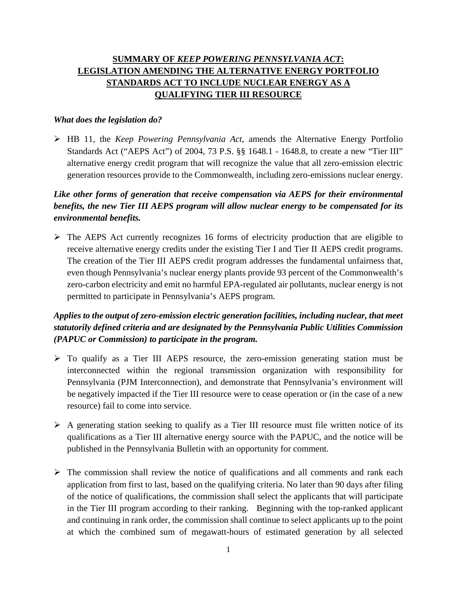# **SUMMARY OF** *KEEP POWERING PENNSYLVANIA ACT***: LEGISLATION AMENDING THE ALTERNATIVE ENERGY PORTFOLIO STANDARDS ACT TO INCLUDE NUCLEAR ENERGY AS A QUALIFYING TIER III RESOURCE**

#### *What does the legislation do?*

 HB 11, the *Keep Powering Pennsylvania Act*, amends the Alternative Energy Portfolio Standards Act ("AEPS Act") of 2004, 73 P.S. §§ 1648.1 - 1648.8, to create a new "Tier III" alternative energy credit program that will recognize the value that all zero-emission electric generation resources provide to the Commonwealth, including zero-emissions nuclear energy.

### *Like other forms of generation that receive compensation via AEPS for their environmental benefits, the new Tier III AEPS program will allow nuclear energy to be compensated for its environmental benefits.*

 The AEPS Act currently recognizes 16 forms of electricity production that are eligible to receive alternative energy credits under the existing Tier I and Tier II AEPS credit programs. The creation of the Tier III AEPS credit program addresses the fundamental unfairness that, even though Pennsylvania's nuclear energy plants provide 93 percent of the Commonwealth's zero-carbon electricity and emit no harmful EPA-regulated air pollutants, nuclear energy is not permitted to participate in Pennsylvania's AEPS program.

### *Applies to the output of zero-emission electric generation facilities, including nuclear, that meet statutorily defined criteria and are designated by the Pennsylvania Public Utilities Commission (PAPUC or Commission) to participate in the program.*

- $\triangleright$  To qualify as a Tier III AEPS resource, the zero-emission generating station must be interconnected within the regional transmission organization with responsibility for Pennsylvania (PJM Interconnection), and demonstrate that Pennsylvania's environment will be negatively impacted if the Tier III resource were to cease operation or (in the case of a new resource) fail to come into service.
- $\triangleright$  A generating station seeking to qualify as a Tier III resource must file written notice of its qualifications as a Tier III alternative energy source with the PAPUC, and the notice will be published in the Pennsylvania Bulletin with an opportunity for comment.
- $\triangleright$  The commission shall review the notice of qualifications and all comments and rank each application from first to last, based on the qualifying criteria. No later than 90 days after filing of the notice of qualifications, the commission shall select the applicants that will participate in the Tier III program according to their ranking. Beginning with the top-ranked applicant and continuing in rank order, the commission shall continue to select applicants up to the point at which the combined sum of megawatt-hours of estimated generation by all selected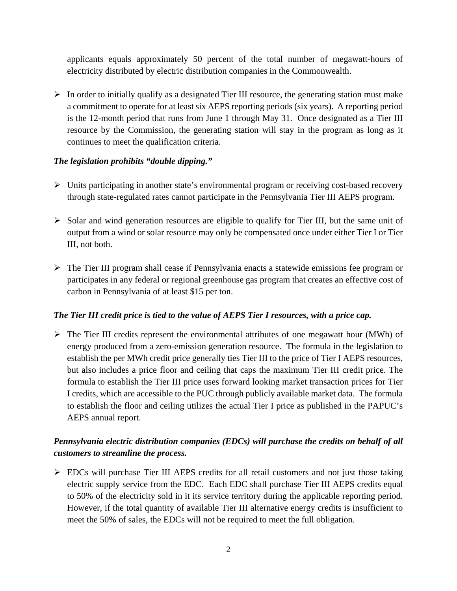applicants equals approximately 50 percent of the total number of megawatt-hours of electricity distributed by electric distribution companies in the Commonwealth.

 $\triangleright$  In order to initially qualify as a designated Tier III resource, the generating station must make a commitment to operate for at least six AEPS reporting periods (six years). A reporting period is the 12-month period that runs from June 1 through May 31. Once designated as a Tier III resource by the Commission, the generating station will stay in the program as long as it continues to meet the qualification criteria.

#### *The legislation prohibits "double dipping."*

- $\triangleright$  Units participating in another state's environmental program or receiving cost-based recovery through state-regulated rates cannot participate in the Pennsylvania Tier III AEPS program.
- $\triangleright$  Solar and wind generation resources are eligible to qualify for Tier III, but the same unit of output from a wind or solar resource may only be compensated once under either Tier I or Tier III, not both.
- $\triangleright$  The Tier III program shall cease if Pennsylvania enacts a statewide emissions fee program or participates in any federal or regional greenhouse gas program that creates an effective cost of carbon in Pennsylvania of at least \$15 per ton.

#### *The Tier III credit price is tied to the value of AEPS Tier I resources, with a price cap.*

 $\triangleright$  The Tier III credits represent the environmental attributes of one megawatt hour (MWh) of energy produced from a zero-emission generation resource. The formula in the legislation to establish the per MWh credit price generally ties Tier III to the price of Tier I AEPS resources, but also includes a price floor and ceiling that caps the maximum Tier III credit price. The formula to establish the Tier III price uses forward looking market transaction prices for Tier I credits, which are accessible to the PUC through publicly available market data. The formula to establish the floor and ceiling utilizes the actual Tier I price as published in the PAPUC's AEPS annual report.

# *Pennsylvania electric distribution companies (EDCs) will purchase the credits on behalf of all customers to streamline the process.*

 $\triangleright$  EDCs will purchase Tier III AEPS credits for all retail customers and not just those taking electric supply service from the EDC. Each EDC shall purchase Tier III AEPS credits equal to 50% of the electricity sold in it its service territory during the applicable reporting period. However, if the total quantity of available Tier III alternative energy credits is insufficient to meet the 50% of sales, the EDCs will not be required to meet the full obligation.